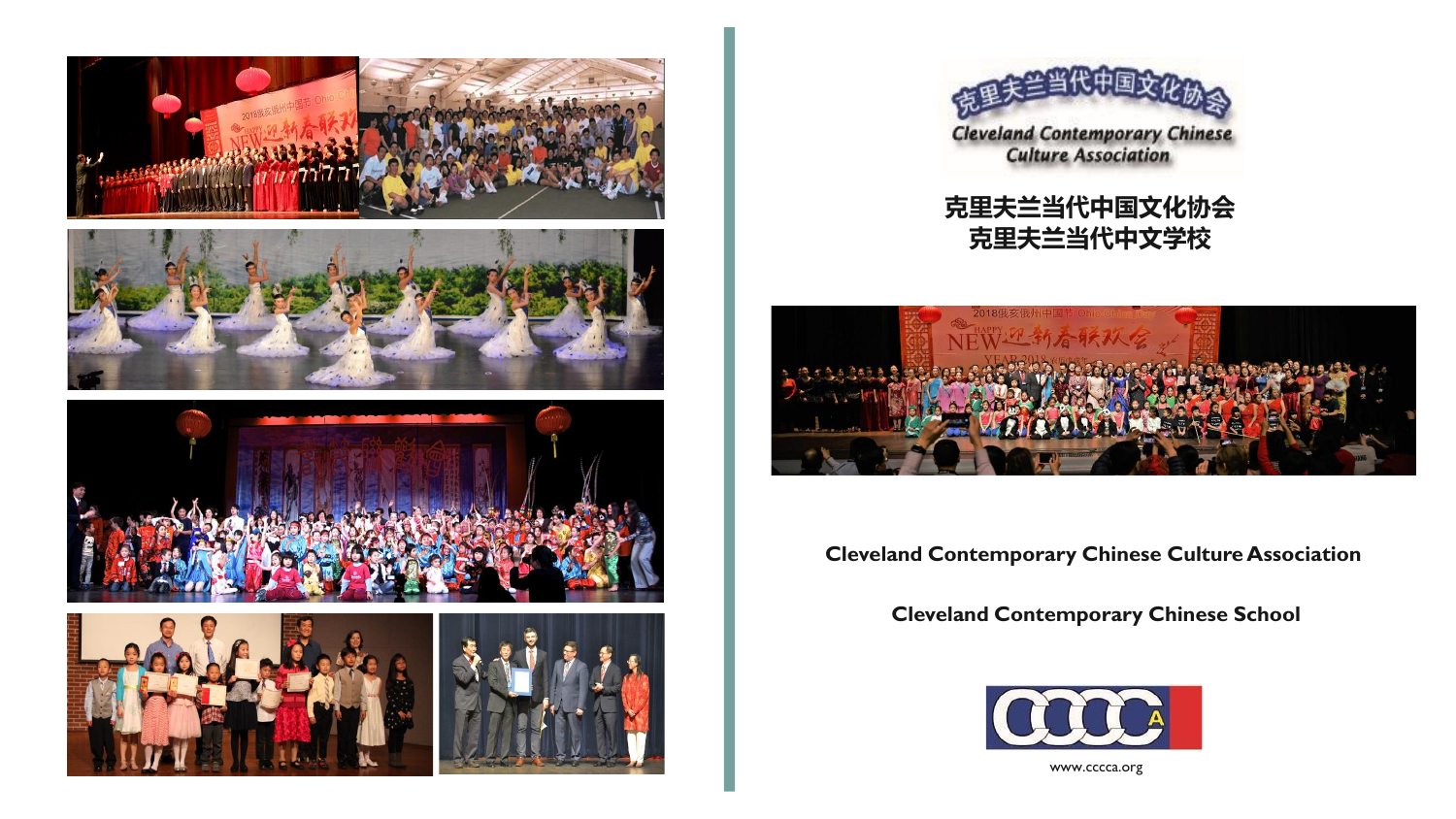









**克里夫兰当代中国文化协会 克里夫兰当代中文学校**



**Cleveland Contemporary Chinese Culture Association**

**Cleveland Contemporary Chinese School**



www.cccca.org